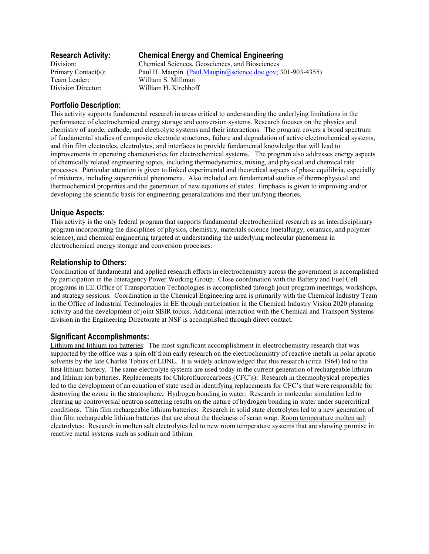# **Research Activity: Chemical Energy and Chemical Engineering**

Division: Chemical Sciences, Geosciences, and Biosciences Primary Contact(s): Paul H. Maupin (Paul.Maupin@science.doe.gov; 301-903-4355) Team Leader: William S. Millman Division Director: William H. Kirchhoff

## **Portfolio Description:**

This activity supports fundamental research in areas critical to understanding the underlying limitations in the performance of electrochemical energy storage and conversion systems. Research focuses on the physics and chemistry of anode, cathode, and electrolyte systems and their interactions. The program covers a broad spectrum of fundamental studies of composite electrode structures, failure and degradation of active electrochemical systems, and thin film electrodes, electrolytes, and interfaces to provide fundamental knowledge that will lead to improvements in operating characteristics for electrochemical systems. The program also addresses energy aspects of chemically related engineering topics, including thermodynamics, mixing, and physical and chemical rate processes. Particular attention is given to linked experimental and theoretical aspects of phase equilibria, especially of mixtures, including supercritical phenomena. Also included are fundamental studies of thermophysical and thermochemical properties and the generation of new equations of states. Emphasis is given to improving and/or developing the scientific basis for engineering generalizations and their unifying theories.

**Unique Aspects:**<br>This activity is the only federal program that supports fundamental electrochemical research as an interdisciplinary program incorporating the disciplines of physics, chemistry, materials science (metallurgy, ceramics, and polymer science), and chemical engineering targeted at understanding the underlying molecular phenomena in electrochemical energy storage and conversion processes.

## **Relationship to Others:**

Coordination of fundamental and applied research efforts in electrochemistry across the government is accomplished by participation in the Interagency Power Working Group. Close coordination with the Battery and Fuel Cell programs in EE-Office of Transportation Technologies is accomplished through joint program meetings, workshops, and strategy sessions. Coordination in the Chemical Engineering area is primarily with the Chemical Industry Team in the Office of Industrial Technologies in EE through participation in the Chemical Industry Vision 2020 planning activity and the development of joint SBIR topics. Additional interaction with the Chemical and Transport Systems division in the Engineering Directorate at NSF is accomplished through direct contact.

#### **Significant Accomplishments:**

Lithium and lithium ion batteries: The most significant accomplishment in electrochemistry research that was supported by the office was a spin off from early research on the electrochemistry of reactive metals in polar aprotic solvents by the late Charles Tobias of LBNL. It is widely acknowledged that this research (circa 1964) led to the first lithium battery. The same electrolyte systems are used today in the current generation of rechargeable lithium and lithium ion batteries. Replacements for Chlorofluorocarbons (CFC's): Research in thermophysical properties led to the development of an equation of state used in identifying replacements for CFC's that were responsible for destroying the ozone in the stratosphere**.** Hydrogen bonding in water: Research in molecular simulation led to clearing up controversial neutron scattering results on the nature of hydrogen bonding in water under supercritical conditions. Thin film rechargeable lithium batteries: Research in solid state electrolytes led to a new generation of thin film rechargeable lithium batteries that are about the thickness of saran wrap. Room temperature molten salt electrolytes: Research in molten salt electrolytes led to new room temperature systems that are showing promise in reactive metal systems such as sodium and lithium.